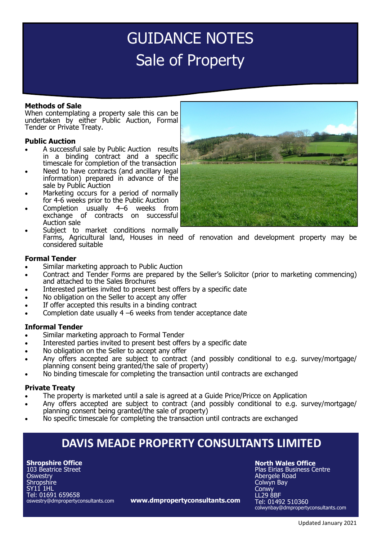# GUIDANCE NOTES Sale of Property

# **Methods of Sale**

When contemplating a property sale this can be undertaken by either Public Auction, Formal Tender or Private Treaty.

# **Public Auction**

- A successful sale by Public Auction results in a binding contract and a specific timescale for completion of the transaction
- Need to have contracts (and ancillary legal information) prepared in advance of the sale by Public Auction
- Marketing occurs for a period of normally for 4-6 weeks prior to the Public Auction
- Completion usually 4–6 weeks from exchange of contracts on successful Auction sale
- Subject to market conditions normally Farms, Agricultural land, Houses in need of renovation and development property may be considered suitable

#### **Formal Tender**

- Similar marketing approach to Public Auction
- Contract and Tender Forms are prepared by the Seller's Solicitor (prior to marketing commencing) and attached to the Sales Brochures
- Interested parties invited to present best offers by a specific date
- No obligation on the Seller to accept any offer
- If offer accepted this results in a binding contract
- Completion date usually 4 –6 weeks from tender acceptance date

#### **Informal Tender**

- Similar marketing approach to Formal Tender
- Interested parties invited to present best offers by a specific date
- No obligation on the Seller to accept any offer
- Any offers accepted are subject to contract (and possibly conditional to e.g. survey/mortgage/ planning consent being granted/the sale of property)
- No binding timescale for completing the transaction until contracts are exchanged

# **Private Treaty**

- The property is marketed until a sale is agreed at a Guide Price/Pricce on Application
- Any offers accepted are subject to contract (and possibly conditional to e.g. survey/mortgage/ planning consent being granted/the sale of property)
- No specific timescale for completing the transaction until contracts are exchanged

# **DAVIS MEADE PROPERTY CONSULTANTS LIMITED**

**www.dmpropertyconsultants.com**

**Shropshire Office** 103 Beatrice Street **Oswestry** Shropshire SY11 1HL Tel: 01691 659658 oswestry@dmpropertyconsultants.com **North Wales Office**

Plas Eirias Business Centre Abergele Road Colwyn Bay **Conwy** LL29 8BF Tel: 01492 510360 colwynbay@dmpropertyconsultants.com